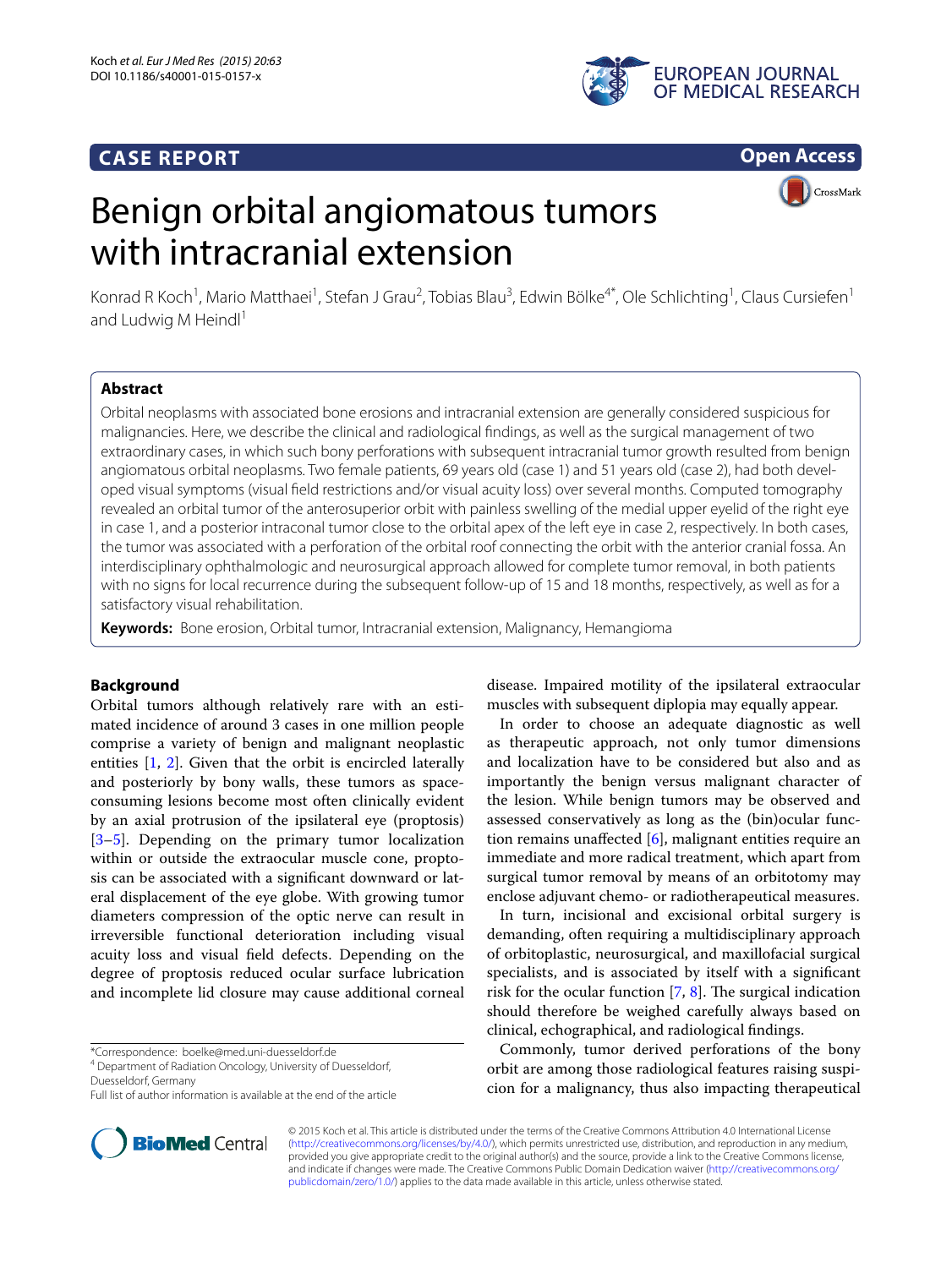# **CASE REPORT**



**Open Access**

# Benign orbital angiomatous tumors with intracranial extension



Konrad R Koch<sup>1</sup>, Mario Matthaei<sup>1</sup>, Stefan J Grau<sup>2</sup>, Tobias Blau<sup>3</sup>, Edwin Bölke<sup>4\*</sup>, Ole Schlichting<sup>1</sup>, Claus Cursiefen<sup>1</sup> and Ludwig M Heindl $1$ 

# **Abstract**

Orbital neoplasms with associated bone erosions and intracranial extension are generally considered suspicious for malignancies. Here, we describe the clinical and radiological findings, as well as the surgical management of two extraordinary cases, in which such bony perforations with subsequent intracranial tumor growth resulted from benign angiomatous orbital neoplasms. Two female patients, 69 years old (case 1) and 51 years old (case 2), had both developed visual symptoms (visual field restrictions and/or visual acuity loss) over several months. Computed tomography revealed an orbital tumor of the anterosuperior orbit with painless swelling of the medial upper eyelid of the right eye in case 1, and a posterior intraconal tumor close to the orbital apex of the left eye in case 2, respectively. In both cases, the tumor was associated with a perforation of the orbital roof connecting the orbit with the anterior cranial fossa. An interdisciplinary ophthalmologic and neurosurgical approach allowed for complete tumor removal, in both patients with no signs for local recurrence during the subsequent follow-up of 15 and 18 months, respectively, as well as for a satisfactory visual rehabilitation.

**Keywords:** Bone erosion, Orbital tumor, Intracranial extension, Malignancy, Hemangioma

# **Background**

Orbital tumors although relatively rare with an estimated incidence of around 3 cases in one million people comprise a variety of benign and malignant neoplastic entities [\[1](#page-3-0), [2](#page-3-1)]. Given that the orbit is encircled laterally and posteriorly by bony walls, these tumors as spaceconsuming lesions become most often clinically evident by an axial protrusion of the ipsilateral eye (proptosis) [[3–](#page-3-2)[5\]](#page-3-3). Depending on the primary tumor localization within or outside the extraocular muscle cone, proptosis can be associated with a significant downward or lateral displacement of the eye globe. With growing tumor diameters compression of the optic nerve can result in irreversible functional deterioration including visual acuity loss and visual field defects. Depending on the degree of proptosis reduced ocular surface lubrication and incomplete lid closure may cause additional corneal

\*Correspondence: boelke@med.uni-duesseldorf.de 4



In order to choose an adequate diagnostic as well as therapeutic approach, not only tumor dimensions and localization have to be considered but also and as importantly the benign versus malignant character of the lesion. While benign tumors may be observed and assessed conservatively as long as the (bin)ocular function remains unaffected [[6\]](#page-3-4), malignant entities require an immediate and more radical treatment, which apart from surgical tumor removal by means of an orbitotomy may enclose adjuvant chemo- or radiotherapeutical measures.

In turn, incisional and excisional orbital surgery is demanding, often requiring a multidisciplinary approach of orbitoplastic, neurosurgical, and maxillofacial surgical specialists, and is associated by itself with a significant risk for the ocular function [[7,](#page-3-5) [8\]](#page-3-6). The surgical indication should therefore be weighed carefully always based on clinical, echographical, and radiological findings.

Commonly, tumor derived perforations of the bony orbit are among those radiological features raising suspicion for a malignancy, thus also impacting therapeutical



© 2015 Koch et al. This article is distributed under the terms of the Creative Commons Attribution 4.0 International License [\(http://creativecommons.org/licenses/by/4.0/\)](http://creativecommons.org/licenses/by/4.0/), which permits unrestricted use, distribution, and reproduction in any medium, provided you give appropriate credit to the original author(s) and the source, provide a link to the Creative Commons license, and indicate if changes were made. The Creative Commons Public Domain Dedication waiver ([http://creativecommons.org/](http://creativecommons.org/publicdomain/zero/1.0/) [publicdomain/zero/1.0/](http://creativecommons.org/publicdomain/zero/1.0/)) applies to the data made available in this article, unless otherwise stated.

Department of Radiation Oncology, University of Duesseldorf,

Duesseldorf, Germany

Full list of author information is available at the end of the article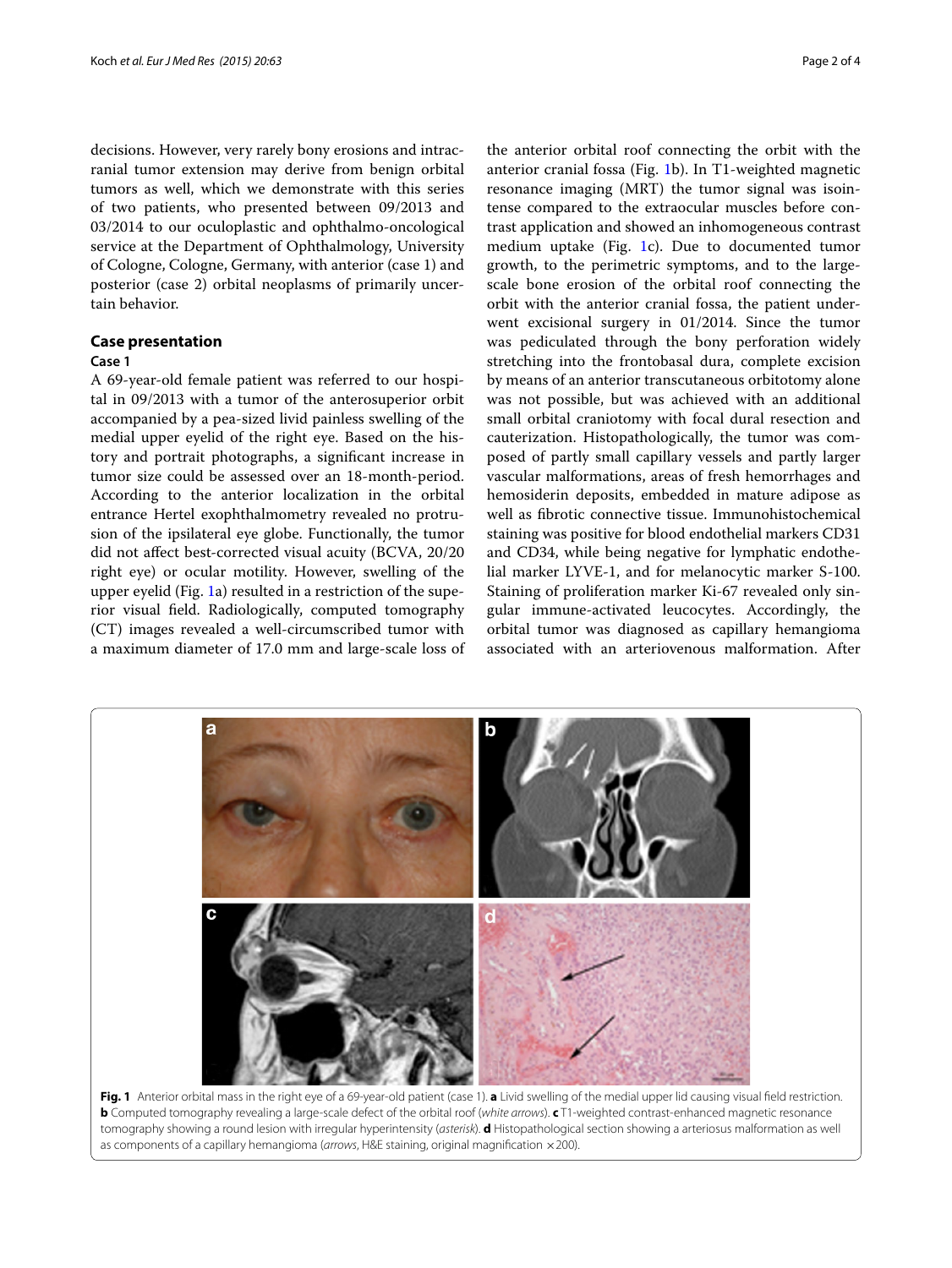decisions. However, very rarely bony erosions and intracranial tumor extension may derive from benign orbital tumors as well, which we demonstrate with this series of two patients, who presented between 09/2013 and 03/2014 to our oculoplastic and ophthalmo-oncological service at the Department of Ophthalmology, University of Cologne, Cologne, Germany, with anterior (case 1) and posterior (case 2) orbital neoplasms of primarily uncertain behavior.

# **Case presentation**

## **Case 1**

A 69-year-old female patient was referred to our hospital in 09/2013 with a tumor of the anterosuperior orbit accompanied by a pea-sized livid painless swelling of the medial upper eyelid of the right eye. Based on the history and portrait photographs, a significant increase in tumor size could be assessed over an 18-month-period. According to the anterior localization in the orbital entrance Hertel exophthalmometry revealed no protrusion of the ipsilateral eye globe. Functionally, the tumor did not affect best-corrected visual acuity (BCVA, 20/20 right eye) or ocular motility. However, swelling of the upper eyelid (Fig. [1a](#page-1-0)) resulted in a restriction of the superior visual field. Radiologically, computed tomography (CT) images revealed a well-circumscribed tumor with a maximum diameter of 17.0 mm and large-scale loss of

the anterior orbital roof connecting the orbit with the anterior cranial fossa (Fig. [1](#page-1-0)b). In T1-weighted magnetic resonance imaging (MRT) the tumor signal was isointense compared to the extraocular muscles before contrast application and showed an inhomogeneous contrast medium uptake (Fig. [1](#page-1-0)c). Due to documented tumor growth, to the perimetric symptoms, and to the largescale bone erosion of the orbital roof connecting the orbit with the anterior cranial fossa, the patient underwent excisional surgery in 01/2014. Since the tumor was pediculated through the bony perforation widely stretching into the frontobasal dura, complete excision by means of an anterior transcutaneous orbitotomy alone was not possible, but was achieved with an additional small orbital craniotomy with focal dural resection and cauterization. Histopathologically, the tumor was composed of partly small capillary vessels and partly larger vascular malformations, areas of fresh hemorrhages and hemosiderin deposits, embedded in mature adipose as well as fibrotic connective tissue. Immunohistochemical staining was positive for blood endothelial markers CD31 and CD34, while being negative for lymphatic endothelial marker LYVE-1, and for melanocytic marker S-100. Staining of proliferation marker Ki-67 revealed only singular immune-activated leucocytes. Accordingly, the orbital tumor was diagnosed as capillary hemangioma associated with an arteriovenous malformation. After



<span id="page-1-0"></span>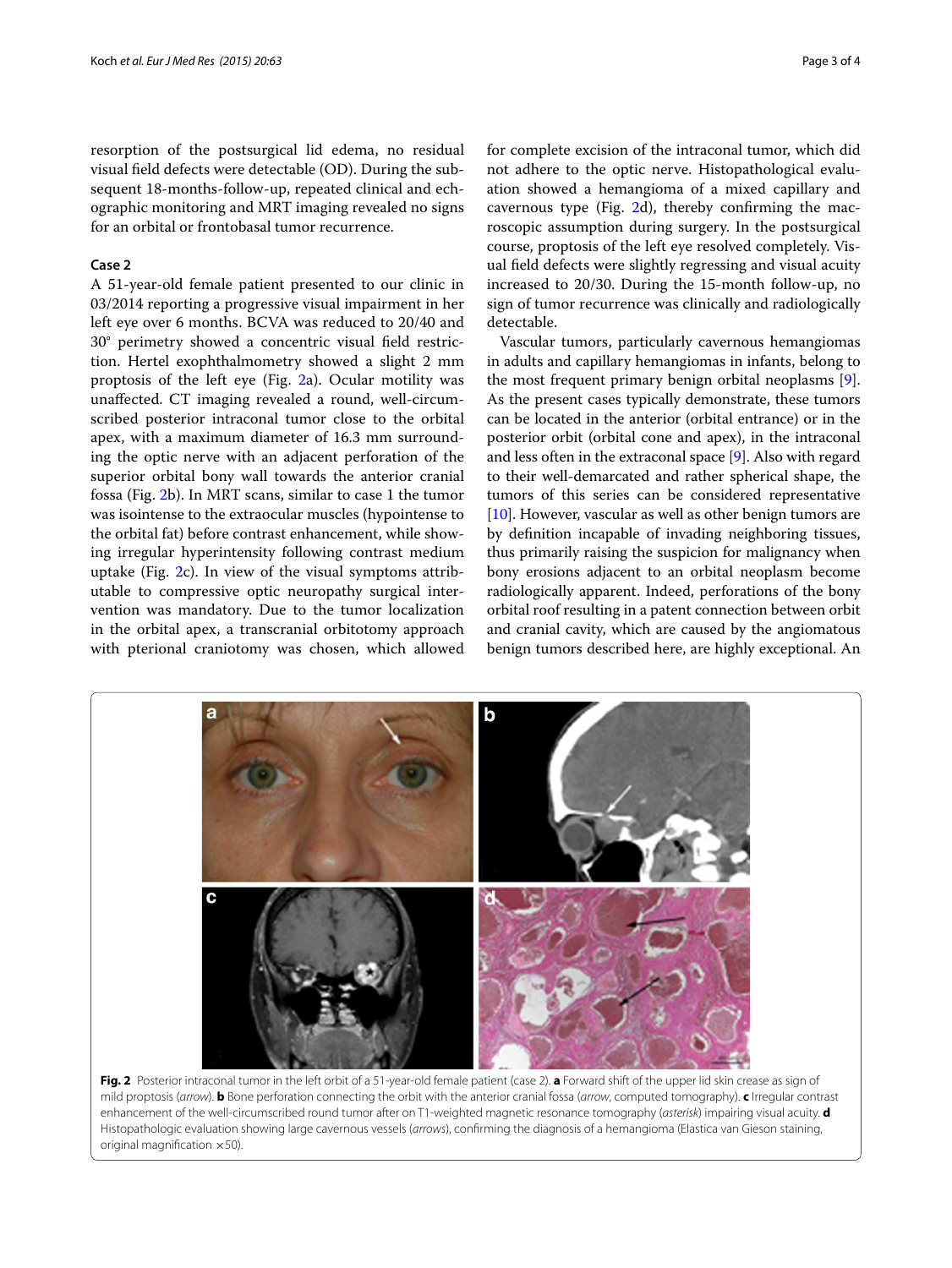resorption of the postsurgical lid edema, no residual visual field defects were detectable (OD). During the subsequent 18-months-follow-up, repeated clinical and echographic monitoring and MRT imaging revealed no signs for an orbital or frontobasal tumor recurrence.

# **Case 2**

A 51-year-old female patient presented to our clinic in 03/2014 reporting a progressive visual impairment in her left eye over 6 months. BCVA was reduced to 20/40 and 30° perimetry showed a concentric visual field restriction. Hertel exophthalmometry showed a slight 2 mm proptosis of the left eye (Fig. [2a](#page-2-0)). Ocular motility was unaffected. CT imaging revealed a round, well-circumscribed posterior intraconal tumor close to the orbital apex, with a maximum diameter of 16.3 mm surrounding the optic nerve with an adjacent perforation of the superior orbital bony wall towards the anterior cranial fossa (Fig. [2b](#page-2-0)). In MRT scans, similar to case 1 the tumor was isointense to the extraocular muscles (hypointense to the orbital fat) before contrast enhancement, while showing irregular hyperintensity following contrast medium uptake (Fig. [2c](#page-2-0)). In view of the visual symptoms attributable to compressive optic neuropathy surgical intervention was mandatory. Due to the tumor localization in the orbital apex, a transcranial orbitotomy approach with pterional craniotomy was chosen, which allowed

for complete excision of the intraconal tumor, which did not adhere to the optic nerve. Histopathological evaluation showed a hemangioma of a mixed capillary and cavernous type (Fig. [2](#page-2-0)d), thereby confirming the macroscopic assumption during surgery. In the postsurgical course, proptosis of the left eye resolved completely. Visual field defects were slightly regressing and visual acuity increased to 20/30. During the 15-month follow-up, no sign of tumor recurrence was clinically and radiologically detectable.

Vascular tumors, particularly cavernous hemangiomas in adults and capillary hemangiomas in infants, belong to the most frequent primary benign orbital neoplasms [\[9](#page-3-7)]. As the present cases typically demonstrate, these tumors can be located in the anterior (orbital entrance) or in the posterior orbit (orbital cone and apex), in the intraconal and less often in the extraconal space [\[9\]](#page-3-7). Also with regard to their well-demarcated and rather spherical shape, the tumors of this series can be considered representative [[10\]](#page-3-8). However, vascular as well as other benign tumors are by definition incapable of invading neighboring tissues, thus primarily raising the suspicion for malignancy when bony erosions adjacent to an orbital neoplasm become radiologically apparent. Indeed, perforations of the bony orbital roof resulting in a patent connection between orbit and cranial cavity, which are caused by the angiomatous benign tumors described here, are highly exceptional. An



<span id="page-2-0"></span>**Fig. 2** Posterior intraconal tumor in the left orbit of a 51-year-old female patient (case 2). **a** Forward shift of the upper lid skin crease as sign of mild proptosis (*arrow*). **b** Bone perforation connecting the orbit with the anterior cranial fossa (*arrow*, computed tomography). **c** Irregular contrast enhancement of the well-circumscribed round tumor after on T1-weighted magnetic resonance tomography (*asterisk*) impairing visual acuity. **d** Histopathologic evaluation showing large cavernous vessels (*arrows*), confirming the diagnosis of a hemangioma (Elastica van Gieson staining, original magnification  $\times$  50).